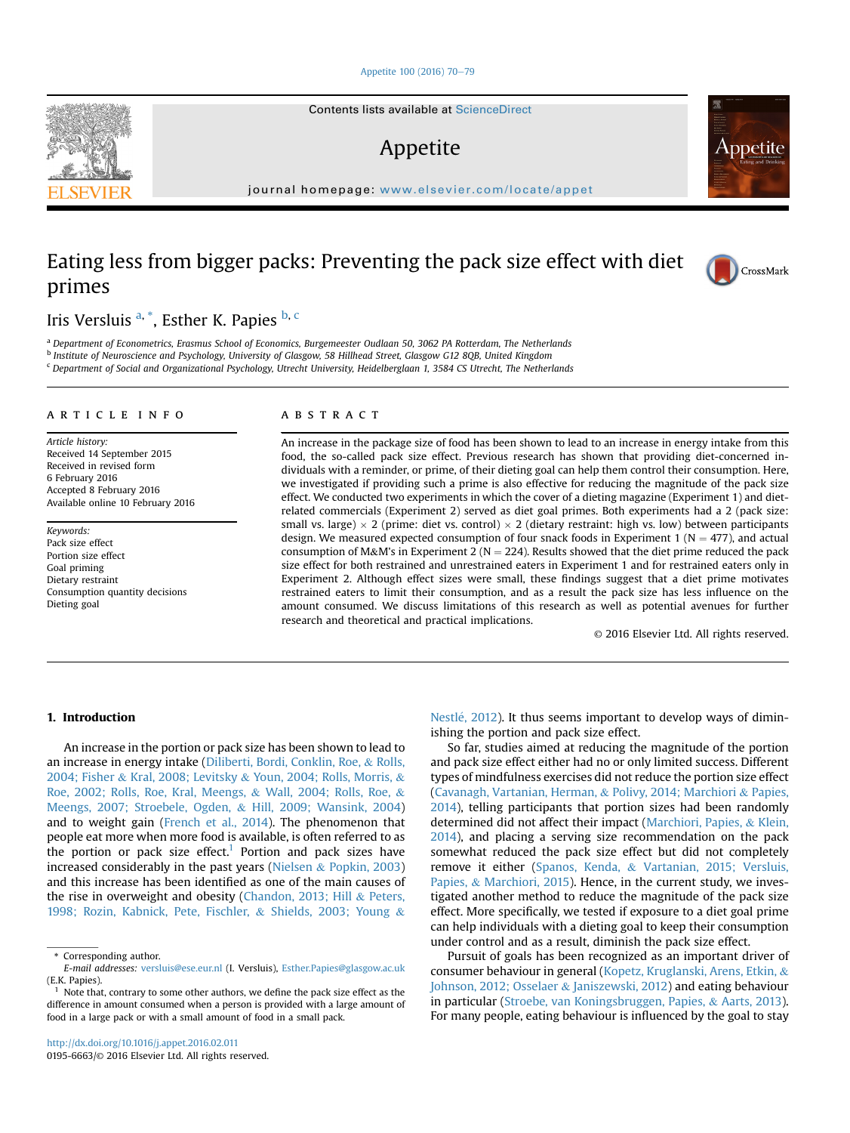[Appetite 100 \(2016\) 70](http://dx.doi.org/10.1016/j.appet.2016.02.011)-[79](http://dx.doi.org/10.1016/j.appet.2016.02.011)

Contents lists available at ScienceDirect

# Appetite

journal homepage: <www.elsevier.com/locate/appet>

# Eating less from bigger packs: Preventing the pack size effect with diet primes

Iris Versluis <sup>a, \*</sup>, Esther K. Papies <sup>b, c</sup>

a Department of Econometrics, Erasmus School of Economics, Burgemeester Oudlaan 50, 3062 PA Rotterdam, The Netherlands

<sup>b</sup> Institute of Neuroscience and Psychology, University of Glasgow, 58 Hillhead Street, Glasgow G12 8QB, United Kingdom

<sup>c</sup> Department of Social and Organizational Psychology, Utrecht University, Heidelberglaan 1, 3584 CS Utrecht, The Netherlands

#### article info

Article history: Received 14 September 2015 Received in revised form 6 February 2016 Accepted 8 February 2016 Available online 10 February 2016

Keywords: Pack size effect Portion size effect Goal priming Dietary restraint Consumption quantity decisions Dieting goal

#### **ABSTRACT**

An increase in the package size of food has been shown to lead to an increase in energy intake from this food, the so-called pack size effect. Previous research has shown that providing diet-concerned individuals with a reminder, or prime, of their dieting goal can help them control their consumption. Here, we investigated if providing such a prime is also effective for reducing the magnitude of the pack size effect. We conducted two experiments in which the cover of a dieting magazine (Experiment 1) and dietrelated commercials (Experiment 2) served as diet goal primes. Both experiments had a 2 (pack size: small vs. large)  $\times$  2 (prime: diet vs. control)  $\times$  2 (dietary restraint: high vs. low) between participants design. We measured expected consumption of four snack foods in Experiment 1 ( $N = 477$ ), and actual consumption of M&M's in Experiment 2 ( $N = 224$ ). Results showed that the diet prime reduced the pack size effect for both restrained and unrestrained eaters in Experiment 1 and for restrained eaters only in Experiment 2. Although effect sizes were small, these findings suggest that a diet prime motivates restrained eaters to limit their consumption, and as a result the pack size has less influence on the amount consumed. We discuss limitations of this research as well as potential avenues for further research and theoretical and practical implications.

© 2016 Elsevier Ltd. All rights reserved.

# 1. Introduction

An increase in the portion or pack size has been shown to lead to an increase in energy intake ([Diliberti, Bordi, Conklin, Roe,](#page-8-0) & [Rolls,](#page-8-0) [2004; Fisher](#page-8-0) & [Kral, 2008; Levitsky](#page-8-0) & [Youn, 2004; Rolls, Morris,](#page-8-0) & [Roe, 2002; Rolls, Roe, Kral, Meengs,](#page-8-0) & [Wall, 2004; Rolls, Roe,](#page-8-0) & [Meengs, 2007; Stroebele, Ogden,](#page-8-0) & [Hill, 2009; Wansink, 2004\)](#page-8-0) and to weight gain [\(French et al., 2014\)](#page-8-0). The phenomenon that people eat more when more food is available, is often referred to as the portion or pack size effect.<sup>1</sup> Portion and pack sizes have increased considerably in the past years [\(Nielsen](#page-8-0) & [Popkin, 2003\)](#page-8-0) and this increase has been identified as one of the main causes of the rise in overweight and obesity ([Chandon, 2013; Hill](#page-8-0) & [Peters,](#page-8-0) [1998; Rozin, Kabnick, Pete, Fischler,](#page-8-0) & [Shields, 2003; Young](#page-8-0) &

Nestlé, 2012). It thus seems important to develop ways of diminishing the portion and pack size effect.

So far, studies aimed at reducing the magnitude of the portion and pack size effect either had no or only limited success. Different types of mindfulness exercises did not reduce the portion size effect ([Cavanagh, Vartanian, Herman,](#page-8-0) & [Polivy, 2014; Marchiori](#page-8-0) & [Papies,](#page-8-0) [2014\)](#page-8-0), telling participants that portion sizes had been randomly determined did not affect their impact [\(Marchiori, Papies,](#page-8-0) & [Klein,](#page-8-0) [2014\)](#page-8-0), and placing a serving size recommendation on the pack somewhat reduced the pack size effect but did not completely remove it either ([Spanos, Kenda,](#page-8-0) & [Vartanian, 2015; Versluis,](#page-8-0) [Papies,](#page-8-0) & [Marchiori, 2015](#page-8-0)). Hence, in the current study, we investigated another method to reduce the magnitude of the pack size effect. More specifically, we tested if exposure to a diet goal prime can help individuals with a dieting goal to keep their consumption under control and as a result, diminish the pack size effect.

Pursuit of goals has been recognized as an important driver of consumer behaviour in general [\(Kopetz, Kruglanski, Arens, Etkin,](#page-8-0) & [Johnson, 2012; Osselaer](#page-8-0) & [Janiszewski, 2012\)](#page-8-0) and eating behaviour in particular ([Stroebe, van Koningsbruggen, Papies,](#page-8-0) & [Aarts, 2013\)](#page-8-0). For many people, eating behaviour is influenced by the goal to stay





Appetite

<sup>\*</sup> Corresponding author.

E-mail addresses: [versluis@ese.eur.nl](mailto:versluis@ese.eur.nl) (I. Versluis), [Esther.Papies@glasgow.ac.uk](mailto:Esther.Papies@glasgow.ac.uk) (E.K. Papies).

 $<sup>1</sup>$  Note that, contrary to some other authors, we define the pack size effect as the</sup> difference in amount consumed when a person is provided with a large amount of food in a large pack or with a small amount of food in a small pack.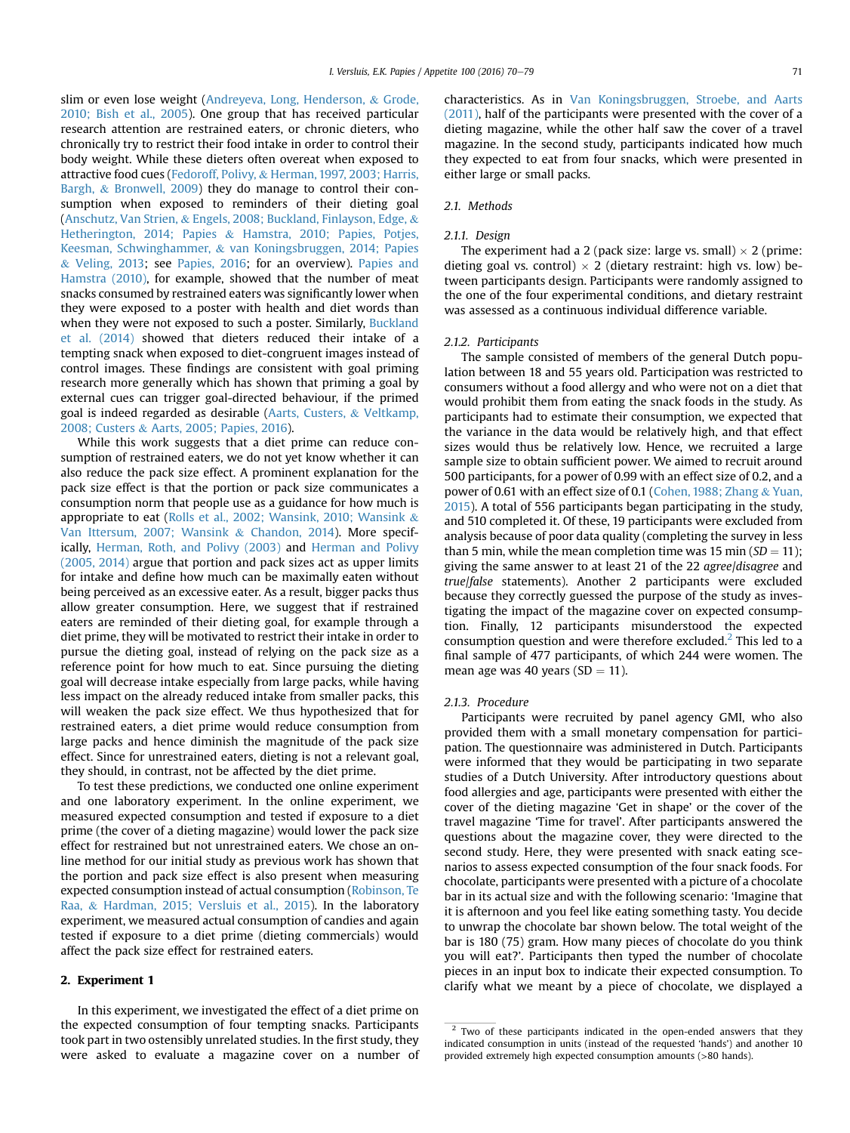slim or even lose weight ([Andreyeva, Long, Henderson,](#page-7-0) & [Grode,](#page-7-0) [2010; Bish et al., 2005\)](#page-7-0). One group that has received particular research attention are restrained eaters, or chronic dieters, who chronically try to restrict their food intake in order to control their body weight. While these dieters often overeat when exposed to attractive food cues [\(Fedoroff, Polivy,](#page-8-0) & [Herman, 1997, 2003; Harris,](#page-8-0) [Bargh,](#page-8-0) & [Bronwell, 2009\)](#page-8-0) they do manage to control their consumption when exposed to reminders of their dieting goal ([Anschutz, Van Strien,](#page-7-0) & [Engels, 2008; Buckland, Finlayson, Edge,](#page-7-0) & [Hetherington, 2014; Papies](#page-7-0) & [Hamstra, 2010; Papies, Potjes,](#page-7-0) [Keesman, Schwinghammer,](#page-7-0) & [van Koningsbruggen, 2014; Papies](#page-7-0) & [Veling, 2013](#page-7-0); see [Papies, 2016;](#page-8-0) for an overview). [Papies and](#page-8-0) [Hamstra \(2010\),](#page-8-0) for example, showed that the number of meat snacks consumed by restrained eaters was significantly lower when they were exposed to a poster with health and diet words than when they were not exposed to such a poster. Similarly, [Buckland](#page-8-0) [et al. \(2014\)](#page-8-0) showed that dieters reduced their intake of a tempting snack when exposed to diet-congruent images instead of control images. These findings are consistent with goal priming research more generally which has shown that priming a goal by external cues can trigger goal-directed behaviour, if the primed goal is indeed regarded as desirable [\(Aarts, Custers,](#page-7-0) & [Veltkamp,](#page-7-0) [2008; Custers](#page-7-0) & [Aarts, 2005; Papies, 2016](#page-7-0)).

While this work suggests that a diet prime can reduce consumption of restrained eaters, we do not yet know whether it can also reduce the pack size effect. A prominent explanation for the pack size effect is that the portion or pack size communicates a consumption norm that people use as a guidance for how much is appropriate to eat [\(Rolls et al., 2002; Wansink, 2010; Wansink](#page-8-0) & [Van Ittersum, 2007; Wansink](#page-8-0) & [Chandon, 2014](#page-8-0)). More specifically, [Herman, Roth, and Polivy \(2003\)](#page-8-0) and [Herman and Polivy](#page-8-0) [\(2005, 2014\)](#page-8-0) argue that portion and pack sizes act as upper limits for intake and define how much can be maximally eaten without being perceived as an excessive eater. As a result, bigger packs thus allow greater consumption. Here, we suggest that if restrained eaters are reminded of their dieting goal, for example through a diet prime, they will be motivated to restrict their intake in order to pursue the dieting goal, instead of relying on the pack size as a reference point for how much to eat. Since pursuing the dieting goal will decrease intake especially from large packs, while having less impact on the already reduced intake from smaller packs, this will weaken the pack size effect. We thus hypothesized that for restrained eaters, a diet prime would reduce consumption from large packs and hence diminish the magnitude of the pack size effect. Since for unrestrained eaters, dieting is not a relevant goal, they should, in contrast, not be affected by the diet prime.

To test these predictions, we conducted one online experiment and one laboratory experiment. In the online experiment, we measured expected consumption and tested if exposure to a diet prime (the cover of a dieting magazine) would lower the pack size effect for restrained but not unrestrained eaters. We chose an online method for our initial study as previous work has shown that the portion and pack size effect is also present when measuring expected consumption instead of actual consumption ([Robinson, Te](#page-8-0) [Raa,](#page-8-0) & [Hardman, 2015; Versluis et al., 2015](#page-8-0)). In the laboratory experiment, we measured actual consumption of candies and again tested if exposure to a diet prime (dieting commercials) would affect the pack size effect for restrained eaters.

#### 2. Experiment 1

In this experiment, we investigated the effect of a diet prime on the expected consumption of four tempting snacks. Participants took part in two ostensibly unrelated studies. In the first study, they were asked to evaluate a magazine cover on a number of characteristics. As in [Van Koningsbruggen, Stroebe, and Aarts](#page-8-0) [\(2011\)](#page-8-0), half of the participants were presented with the cover of a dieting magazine, while the other half saw the cover of a travel magazine. In the second study, participants indicated how much they expected to eat from four snacks, which were presented in either large or small packs.

## 2.1. Methods

#### 2.1.1. Design

The experiment had a 2 (pack size: large vs. small)  $\times$  2 (prime: dieting goal vs. control)  $\times$  2 (dietary restraint: high vs. low) between participants design. Participants were randomly assigned to the one of the four experimental conditions, and dietary restraint was assessed as a continuous individual difference variable.

#### 2.1.2. Participants

The sample consisted of members of the general Dutch population between 18 and 55 years old. Participation was restricted to consumers without a food allergy and who were not on a diet that would prohibit them from eating the snack foods in the study. As participants had to estimate their consumption, we expected that the variance in the data would be relatively high, and that effect sizes would thus be relatively low. Hence, we recruited a large sample size to obtain sufficient power. We aimed to recruit around 500 participants, for a power of 0.99 with an effect size of 0.2, and a power of 0.61 with an effect size of 0.1 [\(Cohen, 1988; Zhang](#page-8-0) & [Yuan,](#page-8-0) [2015\)](#page-8-0). A total of 556 participants began participating in the study, and 510 completed it. Of these, 19 participants were excluded from analysis because of poor data quality (completing the survey in less than 5 min, while the mean completion time was 15 min  $SD = 11$ ); giving the same answer to at least 21 of the 22 agree/disagree and true/false statements). Another 2 participants were excluded because they correctly guessed the purpose of the study as investigating the impact of the magazine cover on expected consumption. Finally, 12 participants misunderstood the expected consumption question and were therefore excluded.<sup>2</sup> This led to a final sample of 477 participants, of which 244 were women. The mean age was 40 years ( $SD = 11$ ).

#### 2.1.3. Procedure

Participants were recruited by panel agency GMI, who also provided them with a small monetary compensation for participation. The questionnaire was administered in Dutch. Participants were informed that they would be participating in two separate studies of a Dutch University. After introductory questions about food allergies and age, participants were presented with either the cover of the dieting magazine 'Get in shape' or the cover of the travel magazine 'Time for travel'. After participants answered the questions about the magazine cover, they were directed to the second study. Here, they were presented with snack eating scenarios to assess expected consumption of the four snack foods. For chocolate, participants were presented with a picture of a chocolate bar in its actual size and with the following scenario: 'Imagine that it is afternoon and you feel like eating something tasty. You decide to unwrap the chocolate bar shown below. The total weight of the bar is 180 (75) gram. How many pieces of chocolate do you think you will eat?'. Participants then typed the number of chocolate pieces in an input box to indicate their expected consumption. To clarify what we meant by a piece of chocolate, we displayed a

<sup>&</sup>lt;sup>2</sup> Two of these participants indicated in the open-ended answers that they indicated consumption in units (instead of the requested 'hands') and another 10 provided extremely high expected consumption amounts (>80 hands).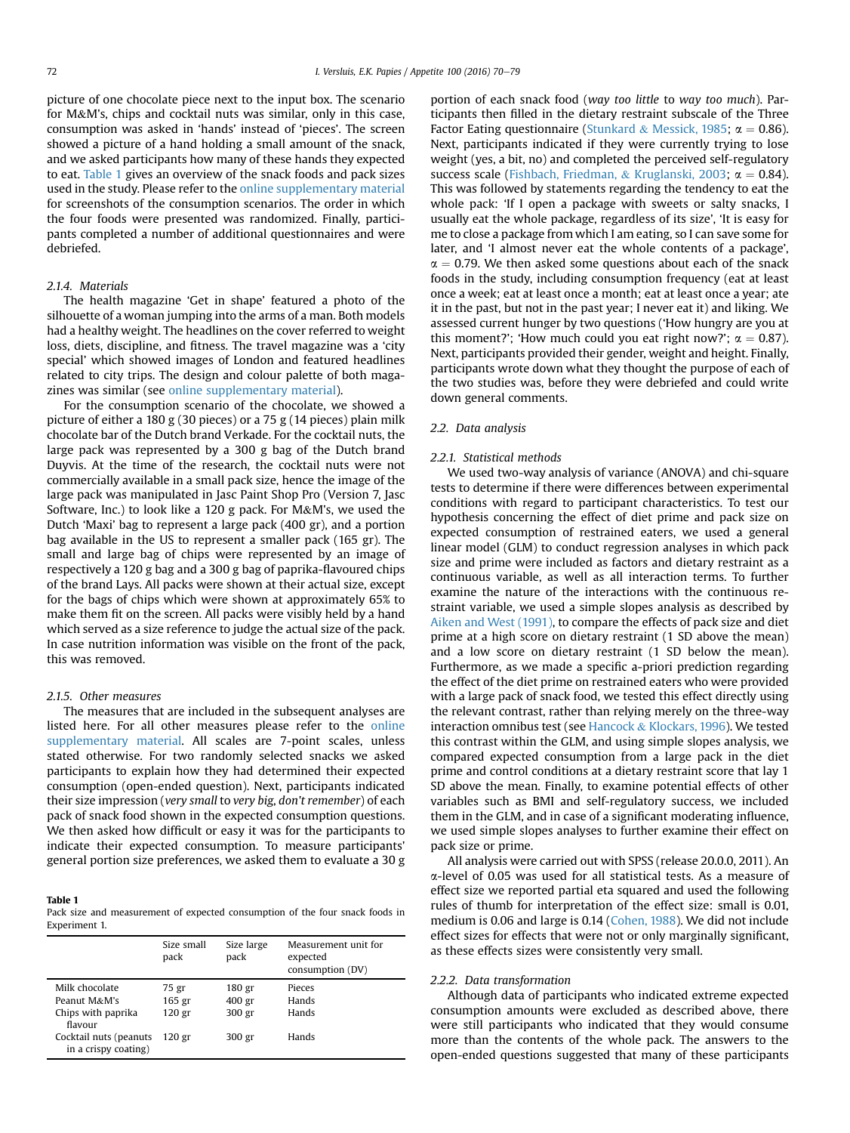picture of one chocolate piece next to the input box. The scenario for M&M's, chips and cocktail nuts was similar, only in this case, consumption was asked in 'hands' instead of 'pieces'. The screen showed a picture of a hand holding a small amount of the snack, and we asked participants how many of these hands they expected to eat. Table 1 gives an overview of the snack foods and pack sizes used in the study. Please refer to the online supplementary material for screenshots of the consumption scenarios. The order in which the four foods were presented was randomized. Finally, participants completed a number of additional questionnaires and were debriefed.

# 2.1.4. Materials

The health magazine 'Get in shape' featured a photo of the silhouette of a woman jumping into the arms of a man. Both models had a healthy weight. The headlines on the cover referred to weight loss, diets, discipline, and fitness. The travel magazine was a 'city special' which showed images of London and featured headlines related to city trips. The design and colour palette of both magazines was similar (see online supplementary material).

For the consumption scenario of the chocolate, we showed a picture of either a 180 g (30 pieces) or a 75 g (14 pieces) plain milk chocolate bar of the Dutch brand Verkade. For the cocktail nuts, the large pack was represented by a 300 g bag of the Dutch brand Duyvis. At the time of the research, the cocktail nuts were not commercially available in a small pack size, hence the image of the large pack was manipulated in Jasc Paint Shop Pro (Version 7, Jasc Software, Inc.) to look like a 120 g pack. For M&M's, we used the Dutch 'Maxi' bag to represent a large pack (400 gr), and a portion bag available in the US to represent a smaller pack (165 gr). The small and large bag of chips were represented by an image of respectively a 120 g bag and a 300 g bag of paprika-flavoured chips of the brand Lays. All packs were shown at their actual size, except for the bags of chips which were shown at approximately 65% to make them fit on the screen. All packs were visibly held by a hand which served as a size reference to judge the actual size of the pack. In case nutrition information was visible on the front of the pack, this was removed.

#### 2.1.5. Other measures

The measures that are included in the subsequent analyses are listed here. For all other measures please refer to the online supplementary material. All scales are 7-point scales, unless stated otherwise. For two randomly selected snacks we asked participants to explain how they had determined their expected consumption (open-ended question). Next, participants indicated their size impression (very small to very big, don't remember) of each pack of snack food shown in the expected consumption questions. We then asked how difficult or easy it was for the participants to indicate their expected consumption. To measure participants' general portion size preferences, we asked them to evaluate a 30 g

#### Table 1

Pack size and measurement of expected consumption of the four snack foods in Experiment 1.

|                                                                 | Size small<br>pack                              | Size large<br>pack                    | Measurement unit for<br>expected<br>consumption (DV) |
|-----------------------------------------------------------------|-------------------------------------------------|---------------------------------------|------------------------------------------------------|
| Milk chocolate<br>Peanut M&M's<br>Chips with paprika<br>flavour | 75 gr<br>165 <sub>gr</sub><br>120 <sub>gr</sub> | 180 gr<br>400 <sub>gr</sub><br>300 gr | Pieces<br>Hands<br>Hands                             |
| Cocktail nuts (peanuts<br>in a crispy coating)                  | 120 gr                                          | 300 gr                                | Hands                                                |

portion of each snack food (way too little to way too much). Participants then filled in the dietary restraint subscale of the Three Factor Eating questionnaire [\(Stunkard](#page-8-0) & [Messick, 1985;](#page-8-0)  $\alpha = 0.86$ ). Next, participants indicated if they were currently trying to lose weight (yes, a bit, no) and completed the perceived self-regulatory success scale ([Fishbach, Friedman,](#page-8-0) & [Kruglanski, 2003](#page-8-0);  $\alpha = 0.84$ ). This was followed by statements regarding the tendency to eat the whole pack: 'If I open a package with sweets or salty snacks, I usually eat the whole package, regardless of its size', 'It is easy for me to close a package from which I am eating, so I can save some for later, and 'I almost never eat the whole contents of a package',  $\alpha$  = 0.79. We then asked some questions about each of the snack foods in the study, including consumption frequency (eat at least once a week; eat at least once a month; eat at least once a year; ate it in the past, but not in the past year; I never eat it) and liking. We assessed current hunger by two questions ('How hungry are you at this moment?'; 'How much could you eat right now?';  $\alpha = 0.87$ ). Next, participants provided their gender, weight and height. Finally, participants wrote down what they thought the purpose of each of the two studies was, before they were debriefed and could write down general comments.

#### 2.2. Data analysis

#### 2.2.1. Statistical methods

We used two-way analysis of variance (ANOVA) and chi-square tests to determine if there were differences between experimental conditions with regard to participant characteristics. To test our hypothesis concerning the effect of diet prime and pack size on expected consumption of restrained eaters, we used a general linear model (GLM) to conduct regression analyses in which pack size and prime were included as factors and dietary restraint as a continuous variable, as well as all interaction terms. To further examine the nature of the interactions with the continuous restraint variable, we used a simple slopes analysis as described by [Aiken and West \(1991\)](#page-7-0), to compare the effects of pack size and diet prime at a high score on dietary restraint (1 SD above the mean) and a low score on dietary restraint (1 SD below the mean). Furthermore, as we made a specific a-priori prediction regarding the effect of the diet prime on restrained eaters who were provided with a large pack of snack food, we tested this effect directly using the relevant contrast, rather than relying merely on the three-way interaction omnibus test (see [Hancock](#page-8-0)  $&$  [Klockars, 1996\)](#page-8-0). We tested this contrast within the GLM, and using simple slopes analysis, we compared expected consumption from a large pack in the diet prime and control conditions at a dietary restraint score that lay 1 SD above the mean. Finally, to examine potential effects of other variables such as BMI and self-regulatory success, we included them in the GLM, and in case of a significant moderating influence, we used simple slopes analyses to further examine their effect on pack size or prime.

All analysis were carried out with SPSS (release 20.0.0, 2011). An a-level of 0.05 was used for all statistical tests. As a measure of effect size we reported partial eta squared and used the following rules of thumb for interpretation of the effect size: small is 0.01, medium is 0.06 and large is 0.14 [\(Cohen, 1988\)](#page-8-0). We did not include effect sizes for effects that were not or only marginally significant, as these effects sizes were consistently very small.

#### 2.2.2. Data transformation

Although data of participants who indicated extreme expected consumption amounts were excluded as described above, there were still participants who indicated that they would consume more than the contents of the whole pack. The answers to the open-ended questions suggested that many of these participants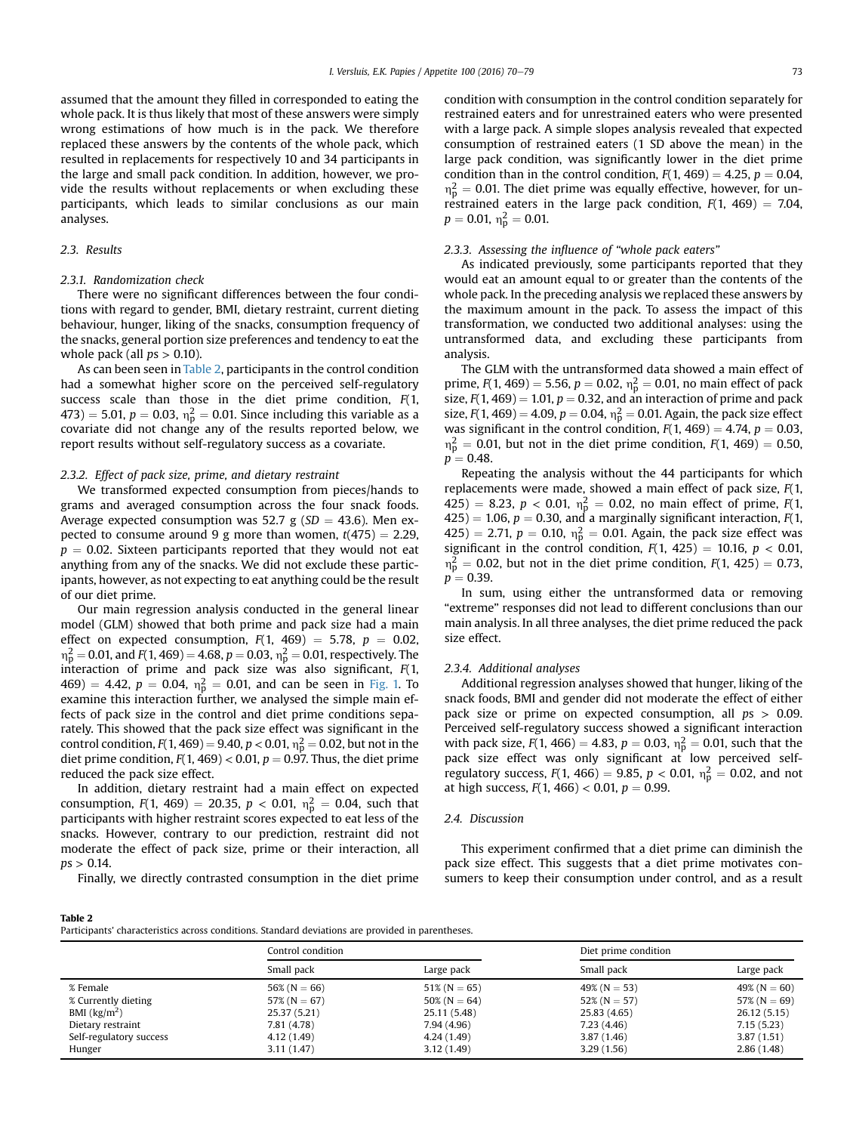assumed that the amount they filled in corresponded to eating the whole pack. It is thus likely that most of these answers were simply wrong estimations of how much is in the pack. We therefore replaced these answers by the contents of the whole pack, which resulted in replacements for respectively 10 and 34 participants in the large and small pack condition. In addition, however, we provide the results without replacements or when excluding these participants, which leads to similar conclusions as our main analyses.

## 2.3. Results

# 2.3.1. Randomization check

There were no significant differences between the four conditions with regard to gender, BMI, dietary restraint, current dieting behaviour, hunger, liking of the snacks, consumption frequency of the snacks, general portion size preferences and tendency to eat the whole pack (all  $ps > 0.10$ ).

As can been seen in Table 2, participants in the control condition had a somewhat higher score on the perceived self-regulatory success scale than those in the diet prime condition,  $F(1, 1)$ 473) = 5.01,  $p = 0.03$ ,  $n_p^2 = 0.01$ . Since including this variable as a covariate did not change any of the results reported below, we report results without self-regulatory success as a covariate.

## 2.3.2. Effect of pack size, prime, and dietary restraint

We transformed expected consumption from pieces/hands to grams and averaged consumption across the four snack foods. Average expected consumption was 52.7 g ( $SD = 43.6$ ). Men expected to consume around 9 g more than women,  $t(475) = 2.29$ ,  $p = 0.02$ . Sixteen participants reported that they would not eat anything from any of the snacks. We did not exclude these participants, however, as not expecting to eat anything could be the result of our diet prime.

Our main regression analysis conducted in the general linear model (GLM) showed that both prime and pack size had a main effect on expected consumption,  $F(1, 469) = 5.78$ ,  $p = 0.02$ ,  $m_{\rm p}^2$  = 0.01, and F(1, 469) = 4.68, p = 0.03,  $n_{\rm p}^2$  = 0.01, respectively. The interaction of prime and pack size was also significant, F(1, 469) = 4.42,  $p = 0.04$ ,  $n_p^2 = 0.01$ , and can be seen in [Fig. 1.](#page-4-0) To examine this interaction further, we analysed the simple main effects of pack size in the control and diet prime conditions separately. This showed that the pack size effect was significant in the control condition,  $F(1, 469) = 9.40$ ,  $p < 0.01$ ,  $n_p^2 = 0.02$ , but not in the diet prime condition,  $F(1, 469) < 0.01$ ,  $p = 0.97$ . Thus, the diet prime reduced the pack size effect.

In addition, dietary restraint had a main effect on expected consumption,  $F(1, 469) = 20.35$ ,  $p < 0.01$ ,  $\eta_{p}^{2} = 0.04$ , such that participants with higher restraint scores expected to eat less of the snacks. However, contrary to our prediction, restraint did not moderate the effect of pack size, prime or their interaction, all  $ps > 0.14$ .

Finally, we directly contrasted consumption in the diet prime

condition with consumption in the control condition separately for restrained eaters and for unrestrained eaters who were presented with a large pack. A simple slopes analysis revealed that expected consumption of restrained eaters (1 SD above the mean) in the large pack condition, was significantly lower in the diet prime condition than in the control condition,  $F(1, 469) = 4.25$ ,  $p = 0.04$ ,  $n_p^2 = 0.01$ . The diet prime was equally effective, however, for unrestrained eaters in the large pack condition,  $F(1, 469) = 7.04$ ,  $p = 0.01, \, \eta_{\rm p}^2 = 0.01.$ 

# 2.3.3. Assessing the influence of "whole pack eaters"

As indicated previously, some participants reported that they would eat an amount equal to or greater than the contents of the whole pack. In the preceding analysis we replaced these answers by the maximum amount in the pack. To assess the impact of this transformation, we conducted two additional analyses: using the untransformed data, and excluding these participants from analysis.

The GLM with the untransformed data showed a main effect of prime,  $F(1, 469) = 5.56$ ,  $p = 0.02$ ,  $n_p^2 = 0.01$ , no main effect of pack size,  $F(1, 469) = 1.01$ ,  $p = 0.32$ , and an interaction of prime and pack size,  $F(1, 469) = 4.09$ ,  $p = 0.04$ ,  $\eta_{\rm p}^2 = 0.01$ . Again, the pack size effect was significant in the control condition,  $F(1, 469) = 4.74$ ,  $p = 0.03$ ,  $n_p^2 = 0.01$ , but not in the diet prime condition,  $F(1, 469) = 0.50$ ,  $p = 0.48$ .

Repeating the analysis without the 44 participants for which replacements were made, showed a main effect of pack size, F(1, 425) = 8.23,  $p < 0.01$ ,  $\eta_{\rm p}^2 = 0.02$ , no main effect of prime,  $F(1)$  $(425) = 1.06$ ,  $p = 0.30$ , and a marginally significant interaction,  $F(1)$ ,  $(425) = 2.71$ ,  $p = 0.10$ ,  $\eta_{p}^{2} = 0.01$ . Again, the pack size effect was significant in the control condition,  $F(1, 425) = 10.16$ ,  $p < 0.01$ ,  $n_p^2 = 0.02$ , but not in the diet prime condition,  $F(1, 425) = 0.73$ ,  $p = 0.39$ .

In sum, using either the untransformed data or removing "extreme" responses did not lead to different conclusions than our main analysis. In all three analyses, the diet prime reduced the pack size effect.

#### 2.3.4. Additional analyses

Additional regression analyses showed that hunger, liking of the snack foods, BMI and gender did not moderate the effect of either pack size or prime on expected consumption, all  $ps > 0.09$ . Perceived self-regulatory success showed a significant interaction with pack size,  $F(1, 466) = 4.83$ ,  $p = 0.03$ ,  $\eta_{\rm p}^2 = 0.01$ , such that the pack size effect was only significant at low perceived selfregulatory success,  $F(1, 466) = 9.85$ ,  $p < 0.01$ ,  $\eta_{\rm p}^2 = 0.02$ , and not at high success,  $F(1, 466) < 0.01$ ,  $p = 0.99$ .

#### 2.4. Discussion

This experiment confirmed that a diet prime can diminish the pack size effect. This suggests that a diet prime motivates consumers to keep their consumption under control, and as a result

#### Table 2

| Participants' characteristics across conditions. Standard deviations are provided in parentheses. |  |
|---------------------------------------------------------------------------------------------------|--|
|---------------------------------------------------------------------------------------------------|--|

|                                   | Control condition |                 | Diet prime condition |                  |
|-----------------------------------|-------------------|-----------------|----------------------|------------------|
|                                   | Small pack        | Large pack      | Small pack           | Large pack       |
| % Female                          | 56% ( $N = 66$ )  | $51\%$ (N = 65) | $49\%$ (N = 53)      | 49% ( $N = 60$ ) |
| % Currently dieting               | 57% ( $N = 67$ )  | $50\%$ (N = 64) | $52\%$ (N = 57)      | 57% ( $N = 69$ ) |
| BMI $\left(\frac{kg}{m^2}\right)$ | 25.37 (5.21)      | 25.11 (5.48)    | 25.83 (4.65)         | 26.12 (5.15)     |
| Dietary restraint                 | 7.81 (4.78)       | 7.94 (4.96)     | 7.23(4.46)           | 7.15(5.23)       |
| Self-regulatory success           | 4.12 (1.49)       | 4.24 (1.49)     | 3.87(1.46)           | 3.87(1.51)       |
| Hunger                            | 3.11(1.47)        | 3.12(1.49)      | 3.29(1.56)           | 2.86(1.48)       |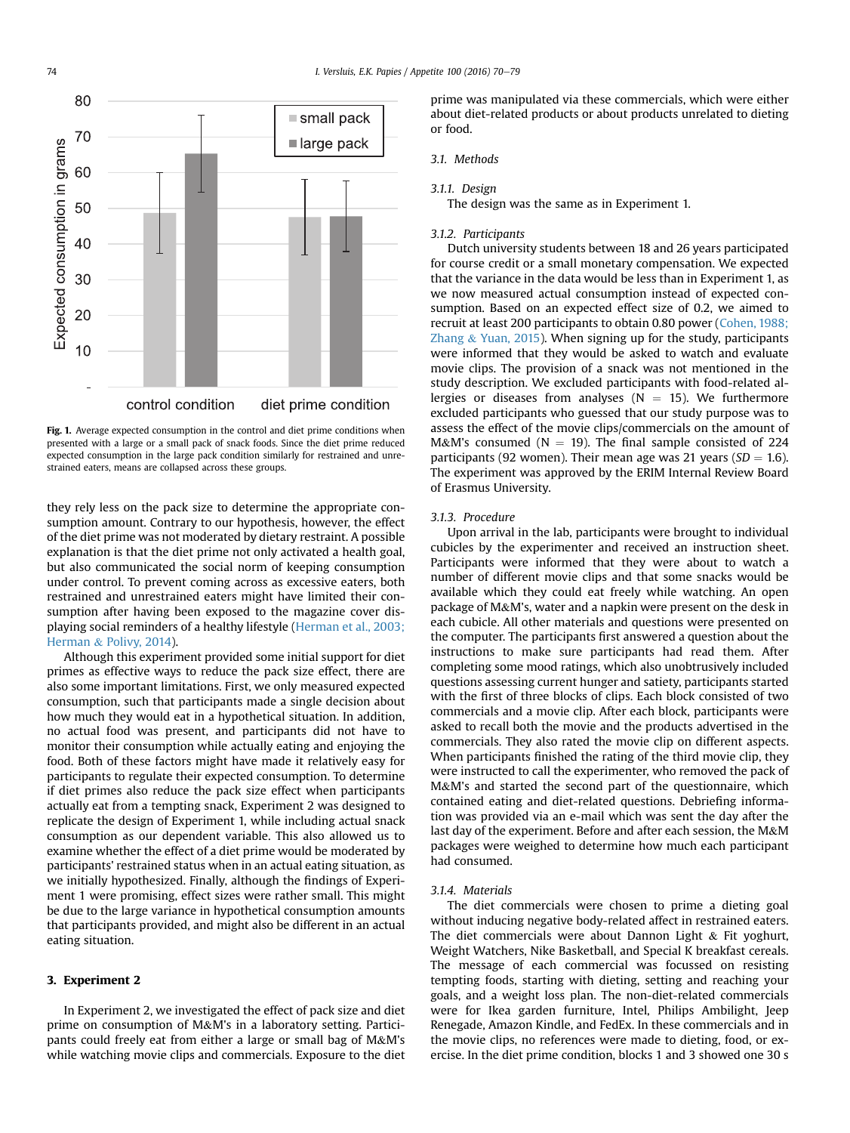<span id="page-4-0"></span>

Fig. 1. Average expected consumption in the control and diet prime conditions when presented with a large or a small pack of snack foods. Since the diet prime reduced expected consumption in the large pack condition similarly for restrained and unrestrained eaters, means are collapsed across these groups.

they rely less on the pack size to determine the appropriate consumption amount. Contrary to our hypothesis, however, the effect of the diet prime was not moderated by dietary restraint. A possible explanation is that the diet prime not only activated a health goal, but also communicated the social norm of keeping consumption under control. To prevent coming across as excessive eaters, both restrained and unrestrained eaters might have limited their consumption after having been exposed to the magazine cover displaying social reminders of a healthy lifestyle [\(Herman et al., 2003;](#page-8-0) [Herman](#page-8-0) & [Polivy, 2014](#page-8-0)).

Although this experiment provided some initial support for diet primes as effective ways to reduce the pack size effect, there are also some important limitations. First, we only measured expected consumption, such that participants made a single decision about how much they would eat in a hypothetical situation. In addition, no actual food was present, and participants did not have to monitor their consumption while actually eating and enjoying the food. Both of these factors might have made it relatively easy for participants to regulate their expected consumption. To determine if diet primes also reduce the pack size effect when participants actually eat from a tempting snack, Experiment 2 was designed to replicate the design of Experiment 1, while including actual snack consumption as our dependent variable. This also allowed us to examine whether the effect of a diet prime would be moderated by participants' restrained status when in an actual eating situation, as we initially hypothesized. Finally, although the findings of Experiment 1 were promising, effect sizes were rather small. This might be due to the large variance in hypothetical consumption amounts that participants provided, and might also be different in an actual eating situation.

#### 3. Experiment 2

In Experiment 2, we investigated the effect of pack size and diet prime on consumption of M&M's in a laboratory setting. Participants could freely eat from either a large or small bag of M&M's while watching movie clips and commercials. Exposure to the diet prime was manipulated via these commercials, which were either about diet-related products or about products unrelated to dieting or food.

## 3.1. Methods

#### 3.1.1. Design

The design was the same as in Experiment 1.

#### 3.1.2. Participants

Dutch university students between 18 and 26 years participated for course credit or a small monetary compensation. We expected that the variance in the data would be less than in Experiment 1, as we now measured actual consumption instead of expected consumption. Based on an expected effect size of 0.2, we aimed to recruit at least 200 participants to obtain 0.80 power [\(Cohen, 1988;](#page-8-0) [Zhang](#page-8-0) & [Yuan, 2015\)](#page-8-0). When signing up for the study, participants were informed that they would be asked to watch and evaluate movie clips. The provision of a snack was not mentioned in the study description. We excluded participants with food-related allergies or diseases from analyses ( $N = 15$ ). We furthermore excluded participants who guessed that our study purpose was to assess the effect of the movie clips/commercials on the amount of M&M's consumed ( $N = 19$ ). The final sample consisted of 224 participants (92 women). Their mean age was 21 years ( $SD = 1.6$ ). The experiment was approved by the ERIM Internal Review Board of Erasmus University.

#### 3.1.3. Procedure

Upon arrival in the lab, participants were brought to individual cubicles by the experimenter and received an instruction sheet. Participants were informed that they were about to watch a number of different movie clips and that some snacks would be available which they could eat freely while watching. An open package of M&M's, water and a napkin were present on the desk in each cubicle. All other materials and questions were presented on the computer. The participants first answered a question about the instructions to make sure participants had read them. After completing some mood ratings, which also unobtrusively included questions assessing current hunger and satiety, participants started with the first of three blocks of clips. Each block consisted of two commercials and a movie clip. After each block, participants were asked to recall both the movie and the products advertised in the commercials. They also rated the movie clip on different aspects. When participants finished the rating of the third movie clip, they were instructed to call the experimenter, who removed the pack of M&M's and started the second part of the questionnaire, which contained eating and diet-related questions. Debriefing information was provided via an e-mail which was sent the day after the last day of the experiment. Before and after each session, the M&M packages were weighed to determine how much each participant had consumed.

#### 3.1.4. Materials

The diet commercials were chosen to prime a dieting goal without inducing negative body-related affect in restrained eaters. The diet commercials were about Dannon Light  $&$  Fit yoghurt, Weight Watchers, Nike Basketball, and Special K breakfast cereals. The message of each commercial was focussed on resisting tempting foods, starting with dieting, setting and reaching your goals, and a weight loss plan. The non-diet-related commercials were for Ikea garden furniture, Intel, Philips Ambilight, Jeep Renegade, Amazon Kindle, and FedEx. In these commercials and in the movie clips, no references were made to dieting, food, or exercise. In the diet prime condition, blocks 1 and 3 showed one 30 s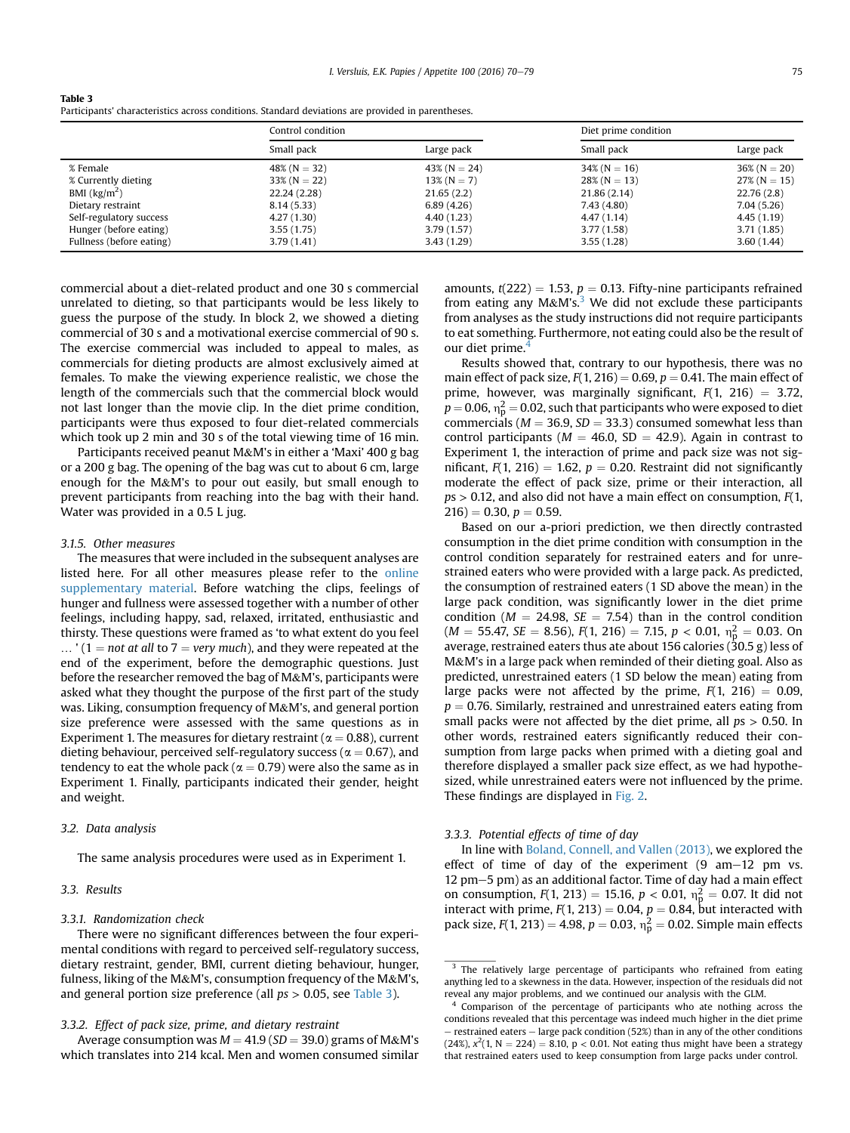| Table 3                                                                                           |
|---------------------------------------------------------------------------------------------------|
| Participants' characteristics across conditions. Standard deviations are provided in parentheses. |

|                          | Control condition |                 | Diet prime condition |                 |
|--------------------------|-------------------|-----------------|----------------------|-----------------|
|                          | Small pack        | Large pack      | Small pack           | Large pack      |
| % Female                 | $48\%$ (N = 32)   | $43\%$ (N = 24) | $34\%$ (N = 16)      | $36\%$ (N = 20) |
| % Currently dieting      | $33\%$ (N = 22)   | $13\%$ (N = 7)  | $28\%$ (N = 13)      | $27\%$ (N = 15) |
| BMI $\frac{kg}{m^2}$     | 22.24 (2.28)      | 21.65(2.2)      | 21.86(2.14)          | 22.76(2.8)      |
| Dietary restraint        | 8.14(5.33)        | 6.89(4.26)      | 7.43 (4.80)          | 7.04(5.26)      |
| Self-regulatory success  | 4.27(1.30)        | 4.40 (1.23)     | 4.47(1.14)           | 4.45(1.19)      |
| Hunger (before eating)   | 3.55(1.75)        | 3.79(1.57)      | 3.77(1.58)           | 3.71(1.85)      |
| Fullness (before eating) | 3.79(1.41)        | 3.43(1.29)      | 3.55(1.28)           | 3.60(1.44)      |

commercial about a diet-related product and one 30 s commercial unrelated to dieting, so that participants would be less likely to guess the purpose of the study. In block 2, we showed a dieting commercial of 30 s and a motivational exercise commercial of 90 s. The exercise commercial was included to appeal to males, as commercials for dieting products are almost exclusively aimed at females. To make the viewing experience realistic, we chose the length of the commercials such that the commercial block would not last longer than the movie clip. In the diet prime condition, participants were thus exposed to four diet-related commercials which took up 2 min and 30 s of the total viewing time of 16 min.

Participants received peanut M&M's in either a 'Maxi' 400 g bag or a 200 g bag. The opening of the bag was cut to about 6 cm, large enough for the M&M's to pour out easily, but small enough to prevent participants from reaching into the bag with their hand. Water was provided in a 0.5 L jug.

#### 3.1.5. Other measures

The measures that were included in the subsequent analyses are listed here. For all other measures please refer to the online supplementary material. Before watching the clips, feelings of hunger and fullness were assessed together with a number of other feelings, including happy, sad, relaxed, irritated, enthusiastic and thirsty. These questions were framed as 'to what extent do you feel  $\ldots$  ' (1 = not at all to 7 = very much), and they were repeated at the end of the experiment, before the demographic questions. Just before the researcher removed the bag of M&M's, participants were asked what they thought the purpose of the first part of the study was. Liking, consumption frequency of M&M's, and general portion size preference were assessed with the same questions as in Experiment 1. The measures for dietary restraint ( $\alpha = 0.88$ ), current dieting behaviour, perceived self-regulatory success ( $\alpha = 0.67$ ), and tendency to eat the whole pack ( $\alpha = 0.79$ ) were also the same as in Experiment 1. Finally, participants indicated their gender, height and weight.

# 3.2. Data analysis

The same analysis procedures were used as in Experiment 1.

## 3.3. Results

#### 3.3.1. Randomization check

There were no significant differences between the four experimental conditions with regard to perceived self-regulatory success, dietary restraint, gender, BMI, current dieting behaviour, hunger, fulness, liking of the M&M's, consumption frequency of the M&M's, and general portion size preference (all  $ps > 0.05$ , see Table 3).

## 3.3.2. Effect of pack size, prime, and dietary restraint

Average consumption was  $M = 41.9$  (SD = 39.0) grams of M&M's which translates into 214 kcal. Men and women consumed similar amounts,  $t(222) = 1.53$ ,  $p = 0.13$ . Fifty-nine participants refrained from eating any  $M\&M's$ .<sup>3</sup> We did not exclude these participants from analyses as the study instructions did not require participants to eat something. Furthermore, not eating could also be the result of our diet prime. $4$ 

Results showed that, contrary to our hypothesis, there was no main effect of pack size,  $F(1, 216) = 0.69$ ,  $p = 0.41$ . The main effect of prime, however, was marginally significant,  $F(1, 216) = 3.72$ ,  $p$  = 0.06,  $\eta_{\rm p}^2$  = 0.02, such that participants who were exposed to diet commercials ( $M = 36.9$ ,  $SD = 33.3$ ) consumed somewhat less than control participants ( $M = 46.0$ , SD = 42.9). Again in contrast to Experiment 1, the interaction of prime and pack size was not significant,  $F(1, 216) = 1.62$ ,  $p = 0.20$ . Restraint did not significantly moderate the effect of pack size, prime or their interaction, all  $ps > 0.12$ , and also did not have a main effect on consumption,  $F(1,$  $216$ ) = 0.30,  $p = 0.59$ .

Based on our a-priori prediction, we then directly contrasted consumption in the diet prime condition with consumption in the control condition separately for restrained eaters and for unrestrained eaters who were provided with a large pack. As predicted, the consumption of restrained eaters (1 SD above the mean) in the large pack condition, was significantly lower in the diet prime condition ( $M = 24.98$ ,  $SE = 7.54$ ) than in the control condition  $(M = 55.47, SE = 8.56), F(1, 216) = 7.15, p < 0.01, \eta_{p}^{2} = 0.03$ . On average, restrained eaters thus ate about 156 calories (30.5 g) less of M&M's in a large pack when reminded of their dieting goal. Also as predicted, unrestrained eaters (1 SD below the mean) eating from large packs were not affected by the prime,  $F(1, 216) = 0.09$ ,  $p = 0.76$ . Similarly, restrained and unrestrained eaters eating from small packs were not affected by the diet prime, all  $ps > 0.50$ . In other words, restrained eaters significantly reduced their consumption from large packs when primed with a dieting goal and therefore displayed a smaller pack size effect, as we had hypothesized, while unrestrained eaters were not influenced by the prime. These findings are displayed in [Fig. 2.](#page-6-0)

## 3.3.3. Potential effects of time of day

In line with [Boland, Connell, and Vallen \(2013\),](#page-7-0) we explored the effect of time of day of the experiment  $(9 \text{ am}-12 \text{ pm vs.})$  $12$  pm $-5$  pm) as an additional factor. Time of day had a main effect on consumption,  $F(1, 213) = 15.16$ ,  $p < 0.01$ ,  $n_p^2 = 0.07$ . It did not interact with prime,  $F(1, 213) = 0.04$ ,  $p = 0.84$ , but interacted with pack size,  $F(1, 213) = 4.98$ ,  $p = 0.03$ ,  $n_p^2 = 0.02$ . Simple main effects

<sup>&</sup>lt;sup>3</sup> The relatively large percentage of participants who refrained from eating anything led to a skewness in the data. However, inspection of the residuals did not reveal any major problems, and we continued our analysis with the GLM.

<sup>&</sup>lt;sup>4</sup> Comparison of the percentage of participants who ate nothing across the conditions revealed that this percentage was indeed much higher in the diet prime  $-$  restrained eaters  $-$  large pack condition (52%) than in any of the other conditions (24%),  $x^2(1, N = 224) = 8.10$ ,  $p < 0.01$ . Not eating thus might have been a strategy that restrained eaters used to keep consumption from large packs under control.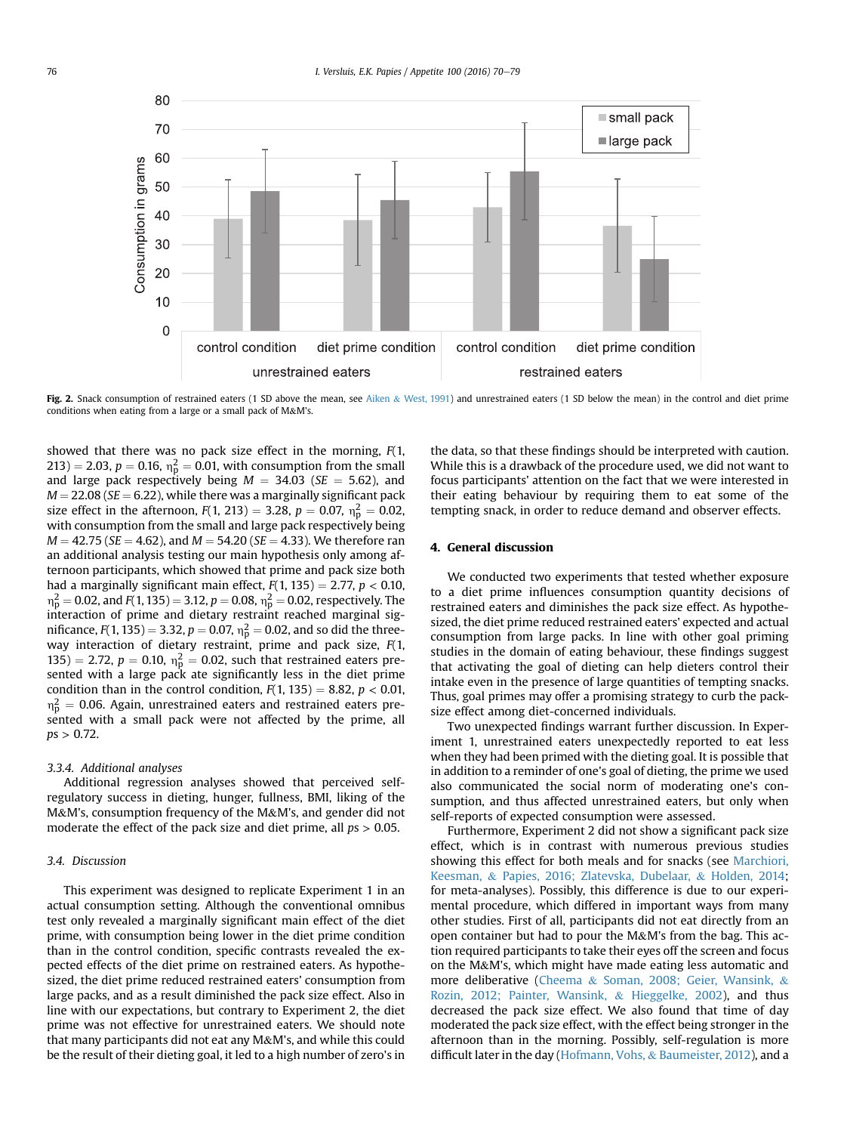<span id="page-6-0"></span>

Fig. 2. Snack consumption of restrained eaters (1 SD above the mean, see [Aiken](#page-7-0) & [West, 1991](#page-7-0)) and unrestrained eaters (1 SD below the mean) in the control and diet prime conditions when eating from a large or a small pack of M&M's.

showed that there was no pack size effect in the morning,  $F(1, 1)$ 213) = 2.03,  $p = 0.16$ ,  $n_p^2 = 0.01$ , with consumption from the small and large pack respectively being  $M = 34.03$  (SE = 5.62), and  $M = 22.08$  (SE = 6.22), while there was a marginally significant pack size effect in the afternoon,  $F(1, 213) = 3.28$ ,  $p = 0.07$ ,  $n_p^2 = 0.02$ , with consumption from the small and large pack respectively being  $M = 42.75$  (SE = 4.62), and  $M = 54.20$  (SE = 4.33). We therefore ran an additional analysis testing our main hypothesis only among afternoon participants, which showed that prime and pack size both had a marginally significant main effect,  $F(1, 135) = 2.77$ ,  $p < 0.10$ ,  $m_{\rm p}^2 =$  0.02, and  $F(1, 135)$   $= 3.12, p =$  0.08,  $n_{\rm p}^2 =$  0.02, respectively. The interaction of prime and dietary restraint reached marginal significance,  $F(1, 135) = 3.32$ ,  $p = 0.07$ ,  $\eta_{\rm p}^2 = 0.02$ , and so did the threeway interaction of dietary restraint, prime and pack size, F(1, 135) = 2.72,  $p = 0.10$ ,  $n_p^2 = 0.02$ , such that restrained eaters presented with a large pack ate significantly less in the diet prime condition than in the control condition,  $F(1, 135) = 8.82$ ,  $p < 0.01$ ,  $n_p^2 = 0.06$ . Again, unrestrained eaters and restrained eaters presented with a small pack were not affected by the prime, all  $ps > 0.72$ .

#### 3.3.4. Additional analyses

Additional regression analyses showed that perceived selfregulatory success in dieting, hunger, fullness, BMI, liking of the M&M's, consumption frequency of the M&M's, and gender did not moderate the effect of the pack size and diet prime, all  $ps > 0.05$ .

## 3.4. Discussion

This experiment was designed to replicate Experiment 1 in an actual consumption setting. Although the conventional omnibus test only revealed a marginally significant main effect of the diet prime, with consumption being lower in the diet prime condition than in the control condition, specific contrasts revealed the expected effects of the diet prime on restrained eaters. As hypothesized, the diet prime reduced restrained eaters' consumption from large packs, and as a result diminished the pack size effect. Also in line with our expectations, but contrary to Experiment 2, the diet prime was not effective for unrestrained eaters. We should note that many participants did not eat any M&M's, and while this could be the result of their dieting goal, it led to a high number of zero's in

the data, so that these findings should be interpreted with caution. While this is a drawback of the procedure used, we did not want to focus participants' attention on the fact that we were interested in their eating behaviour by requiring them to eat some of the tempting snack, in order to reduce demand and observer effects.

## 4. General discussion

We conducted two experiments that tested whether exposure to a diet prime influences consumption quantity decisions of restrained eaters and diminishes the pack size effect. As hypothesized, the diet prime reduced restrained eaters' expected and actual consumption from large packs. In line with other goal priming studies in the domain of eating behaviour, these findings suggest that activating the goal of dieting can help dieters control their intake even in the presence of large quantities of tempting snacks. Thus, goal primes may offer a promising strategy to curb the packsize effect among diet-concerned individuals.

Two unexpected findings warrant further discussion. In Experiment 1, unrestrained eaters unexpectedly reported to eat less when they had been primed with the dieting goal. It is possible that in addition to a reminder of one's goal of dieting, the prime we used also communicated the social norm of moderating one's consumption, and thus affected unrestrained eaters, but only when self-reports of expected consumption were assessed.

Furthermore, Experiment 2 did not show a significant pack size effect, which is in contrast with numerous previous studies showing this effect for both meals and for snacks (see [Marchiori,](#page-8-0) [Keesman,](#page-8-0) & [Papies, 2016; Zlatevska, Dubelaar,](#page-8-0) & [Holden, 2014](#page-8-0); for meta-analyses). Possibly, this difference is due to our experimental procedure, which differed in important ways from many other studies. First of all, participants did not eat directly from an open container but had to pour the M&M's from the bag. This action required participants to take their eyes off the screen and focus on the M&M's, which might have made eating less automatic and more deliberative ([Cheema](#page-8-0) & [Soman, 2008; Geier, Wansink,](#page-8-0) & [Rozin, 2012; Painter, Wansink,](#page-8-0) & [Hieggelke, 2002](#page-8-0)), and thus decreased the pack size effect. We also found that time of day moderated the pack size effect, with the effect being stronger in the afternoon than in the morning. Possibly, self-regulation is more difficult later in the day [\(Hofmann, Vohs,](#page-8-0) & [Baumeister, 2012](#page-8-0)), and a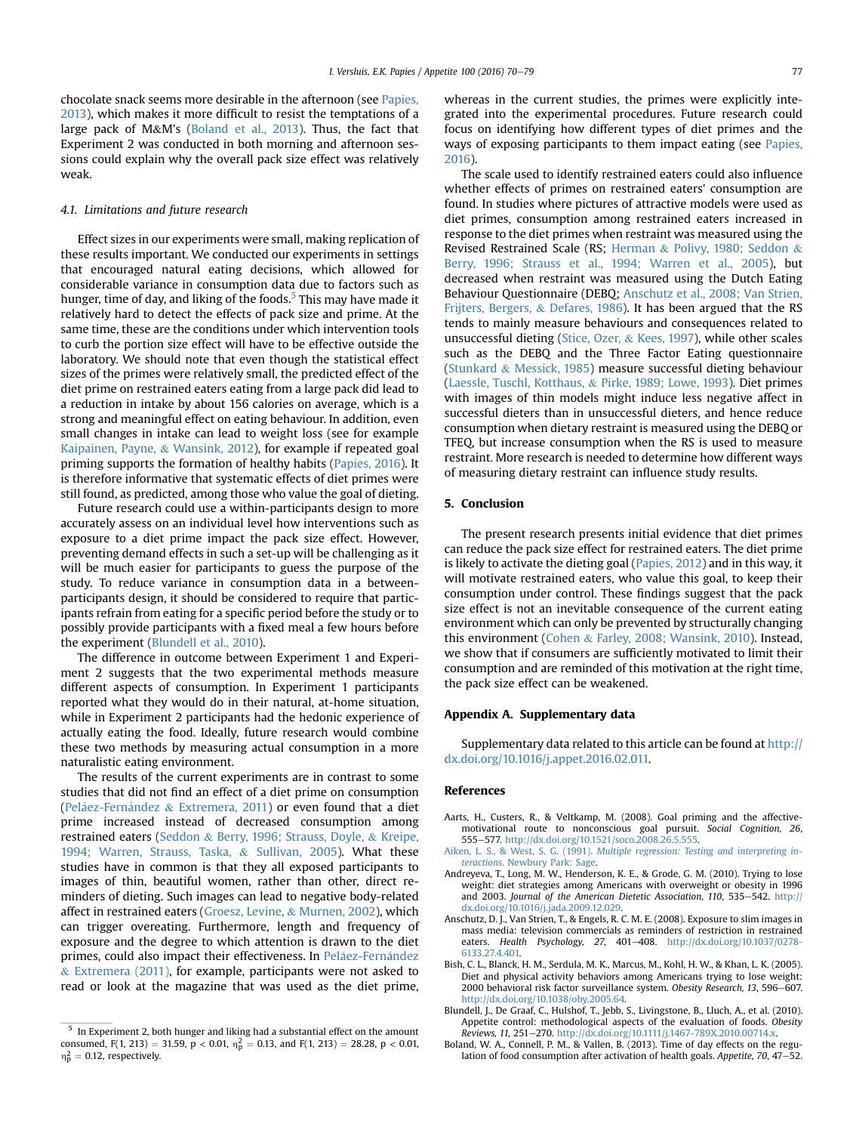<span id="page-7-0"></span>chocolate snack seems more desirable in the afternoon (see [Papies,](#page-8-0) [2013\)](#page-8-0), which makes it more difficult to resist the temptations of a large pack of M&M's (Boland et al., 2013). Thus, the fact that Experiment 2 was conducted in both morning and afternoon sessions could explain why the overall pack size effect was relatively weak.

#### 4.1. Limitations and future research

Effect sizes in our experiments were small, making replication of these results important. We conducted our experiments in settings that encouraged natural eating decisions, which allowed for considerable variance in consumption data due to factors such as hunger, time of day, and liking of the foods.<sup>5</sup> This may have made it relatively hard to detect the effects of pack size and prime. At the same time, these are the conditions under which intervention tools to curb the portion size effect will have to be effective outside the laboratory. We should note that even though the statistical effect sizes of the primes were relatively small, the predicted effect of the diet prime on restrained eaters eating from a large pack did lead to a reduction in intake by about 156 calories on average, which is a strong and meaningful effect on eating behaviour. In addition, even small changes in intake can lead to weight loss (see for example [Kaipainen, Payne,](#page-8-0) & [Wansink, 2012\)](#page-8-0), for example if repeated goal priming supports the formation of healthy habits [\(Papies, 2016\)](#page-8-0). It is therefore informative that systematic effects of diet primes were still found, as predicted, among those who value the goal of dieting.

Future research could use a within-participants design to more accurately assess on an individual level how interventions such as exposure to a diet prime impact the pack size effect. However, preventing demand effects in such a set-up will be challenging as it will be much easier for participants to guess the purpose of the study. To reduce variance in consumption data in a betweenparticipants design, it should be considered to require that participants refrain from eating for a specific period before the study or to possibly provide participants with a fixed meal a few hours before the experiment (Blundell et al., 2010).

The difference in outcome between Experiment 1 and Experiment 2 suggests that the two experimental methods measure different aspects of consumption. In Experiment 1 participants reported what they would do in their natural, at-home situation, while in Experiment 2 participants had the hedonic experience of actually eating the food. Ideally, future research would combine these two methods by measuring actual consumption in a more naturalistic eating environment.

The results of the current experiments are in contrast to some studies that did not find an effect of a diet prime on consumption (Peláez-Ferná[ndez](#page-8-0)  $&$  [Extremera, 2011\)](#page-8-0) or even found that a diet prime increased instead of decreased consumption among restrained eaters [\(Seddon](#page-8-0) & [Berry, 1996; Strauss, Doyle,](#page-8-0) & [Kreipe,](#page-8-0) [1994; Warren, Strauss, Taska,](#page-8-0) & [Sullivan, 2005](#page-8-0)). What these studies have in common is that they all exposed participants to images of thin, beautiful women, rather than other, direct reminders of dieting. Such images can lead to negative body-related affect in restrained eaters [\(Groesz, Levine,](#page-8-0) & [Murnen, 2002](#page-8-0)), which can trigger overeating. Furthermore, length and frequency of exposure and the degree to which attention is drawn to the diet primes, could also impact their effectiveness. In [Pel](#page-8-0)á[ez-Fern](#page-8-0)ández  $&$  [Extremera \(2011\),](#page-8-0) for example, participants were not asked to read or look at the magazine that was used as the diet prime,

whereas in the current studies, the primes were explicitly integrated into the experimental procedures. Future research could focus on identifying how different types of diet primes and the ways of exposing participants to them impact eating (see [Papies,](#page-8-0) [2016\)](#page-8-0).

The scale used to identify restrained eaters could also influence whether effects of primes on restrained eaters' consumption are found. In studies where pictures of attractive models were used as diet primes, consumption among restrained eaters increased in response to the diet primes when restraint was measured using the Revised Restrained Scale (RS; [Herman](#page-8-0) & [Polivy, 1980; Seddon](#page-8-0) & [Berry, 1996; Strauss et al., 1994; Warren et al., 2005\)](#page-8-0), but decreased when restraint was measured using the Dutch Eating Behaviour Questionnaire (DEBQ; Anschutz et al., 2008; Van Strien, Frijters, Bergers, & Defares, 1986). It has been argued that the RS tends to mainly measure behaviours and consequences related to unsuccessful dieting [\(Stice, Ozer,](#page-8-0) & [Kees, 1997](#page-8-0)), while other scales such as the DEBQ and the Three Factor Eating questionnaire ([Stunkard](#page-8-0) & [Messick, 1985](#page-8-0)) measure successful dieting behaviour ([Laessle, Tuschl, Kotthaus,](#page-8-0) & [Pirke, 1989; Lowe, 1993\)](#page-8-0). Diet primes with images of thin models might induce less negative affect in successful dieters than in unsuccessful dieters, and hence reduce consumption when dietary restraint is measured using the DEBQ or TFEQ, but increase consumption when the RS is used to measure restraint. More research is needed to determine how different ways of measuring dietary restraint can influence study results.

## 5. Conclusion

The present research presents initial evidence that diet primes can reduce the pack size effect for restrained eaters. The diet prime is likely to activate the dieting goal ([Papies, 2012\)](#page-8-0) and in this way, it will motivate restrained eaters, who value this goal, to keep their consumption under control. These findings suggest that the pack size effect is not an inevitable consequence of the current eating environment which can only be prevented by structurally changing this environment ([Cohen](#page-8-0) & [Farley, 2008; Wansink, 2010\)](#page-8-0). Instead, we show that if consumers are sufficiently motivated to limit their consumption and are reminded of this motivation at the right time, the pack size effect can be weakened.

# Appendix A. Supplementary data

Supplementary data related to this article can be found at [http://](http://dx.doi.org/10.1016/j.appet.2016.02.011) [dx.doi.org/10.1016/j.appet.2016.02.011.](http://dx.doi.org/10.1016/j.appet.2016.02.011)

#### References

- Aarts, H., Custers, R., & Veltkamp, M. (2008). Goal priming and the affectivemotivational route to nonconscious goal pursuit. Social Cognition, 26, 555e577. [http://dx.doi.org/10.1521/soco.2008.26.5.555.](http://dx.doi.org/10.1521/soco.2008.26.5.555)
- Aiken, L. S., & West, S. G. (1991). [Multiple regression: Testing and interpreting in](http://refhub.elsevier.com/S0195-6663(16)30046-0/sref2)teractions[. Newbury Park: Sage](http://refhub.elsevier.com/S0195-6663(16)30046-0/sref2).
- Andreyeva, T., Long, M. W., Henderson, K. E., & Grode, G. M. (2010). Trying to lose weight: diet strategies among Americans with overweight or obesity in 1996 and 2003. Journal of the American Dietetic Association, 110, 535-542. [http://](http://dx.doi.org/10.1016/j.jada.2009.12.029) [dx.doi.org/10.1016/j.jada.2009.12.029](http://dx.doi.org/10.1016/j.jada.2009.12.029).
- Anschutz, D. J., Van Strien, T., & Engels, R. C. M. E. (2008). Exposure to slim images in mass media: television commercials as reminders of restriction in restrained eaters. Health Psychology, 27, 401-408. [http://dx.doi.org/10.1037/0278-](http://dx.doi.org/10.1037/0278-6133.27.4.401) [6133.27.4.401.](http://dx.doi.org/10.1037/0278-6133.27.4.401)
- Bish, C. L., Blanck, H. M., Serdula, M. K., Marcus, M., Kohl, H. W., & Khan, L. K. (2005). Diet and physical activity behaviors among Americans trying to lose weight: 2000 behavioral risk factor surveillance system. Obesity Research, 13, 596-607. [http://dx.doi.org/10.1038/oby.2005.64.](http://dx.doi.org/10.1038/oby.2005.64)
- Blundell, J., De Graaf, C., Hulshof, T., Jebb, S., Livingstone, B., Lluch, A., et al. (2010). Appetite control: methodological aspects of the evaluation of foods. Obesity Reviews, 11, 251-270. [http://dx.doi.org/10.1111/j.1467-789X.2010.00714.x.](http://dx.doi.org/10.1111/j.1467-789X.2010.00714.x)
- Boland, W. A., Connell, P. M., & Vallen, B. (2013). Time of day effects on the regulation of food consumption after activation of health goals. Appetite, 70, 47 $-52$ .

 $5$  In Experiment 2, both hunger and liking had a substantial effect on the amount consumed, F(1, 213) = 31.59, p < 0.01,  $n_p^2 = 0.13$ , and F(1, 213) = 28.28, p < 0.01,  $n_{\rm p}^2 = 0.12$ , respectively.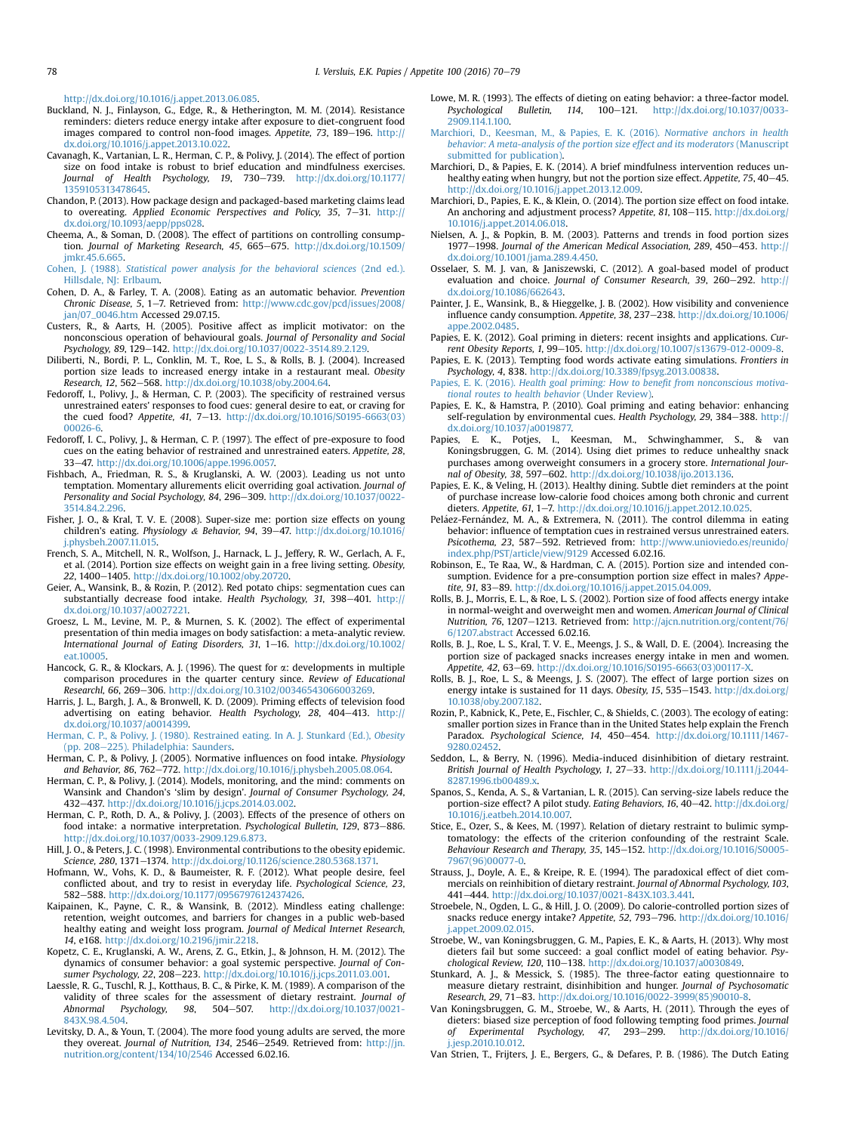<span id="page-8-0"></span><http://dx.doi.org/10.1016/j.appet.2013.06.085>.

- Buckland, N. J., Finlayson, G., Edge, R., & Hetherington, M. M. (2014). Resistance reminders: dieters reduce energy intake after exposure to diet-congruent food images compared to control non-food images. Appetite, 73, 189-196. [http://](http://dx.doi.org/10.1016/j.appet.2013.10.022) [dx.doi.org/10.1016/j.appet.2013.10.022.](http://dx.doi.org/10.1016/j.appet.2013.10.022)
- Cavanagh, K., Vartanian, L. R., Herman, C. P., & Polivy, J. (2014). The effect of portion size on food intake is robust to brief education and mindfulness exercises. Journal of Health Psychology, 19, 730-739. [http://dx.doi.org/10.1177/](http://dx.doi.org/10.1177/1359105313478645) [1359105313478645.](http://dx.doi.org/10.1177/1359105313478645)
- Chandon, P. (2013). How package design and packaged-based marketing claims lead to overeating. Applied Economic Perspectives and Policy,  $35$ ,  $7-31$ . [http://](http://dx.doi.org/10.1093/aepp/pps028) [dx.doi.org/10.1093/aepp/pps028.](http://dx.doi.org/10.1093/aepp/pps028)
- Cheema, A., & Soman, D. (2008). The effect of partitions on controlling consumption. Journal of Marketing Research, 45, 665-675. [http://dx.doi.org/10.1509/](http://dx.doi.org/10.1509/jmkr.45.6.665) [jmkr.45.6.665](http://dx.doi.org/10.1509/jmkr.45.6.665).
- Cohen, J. (1988). [Statistical power analysis for the behavioral sciences](http://refhub.elsevier.com/S0195-6663(16)30046-0/sref12) (2nd ed.). [Hillsdale, NJ: Erlbaum.](http://refhub.elsevier.com/S0195-6663(16)30046-0/sref12)
- Cohen, D. A., & Farley, T. A. (2008). Eating as an automatic behavior. Prevention Chronic Disease, 5, 1-7. Retrieved from: [http://www.cdc.gov/pcd/issues/2008/](http://www.cdc.gov/pcd/issues/2008/jan/07_0046.htm) [jan/07\\_0046.htm](http://www.cdc.gov/pcd/issues/2008/jan/07_0046.htm) Accessed 29.07.15.
- Custers, R., & Aarts, H. (2005). Positive affect as implicit motivator: on the nonconscious operation of behavioural goals. Journal of Personality and Social Psychology, 89, 129-142. <http://dx.doi.org/10.1037/0022-3514.89.2.129>.
- Diliberti, N., Bordi, P. L., Conklin, M. T., Roe, L. S., & Rolls, B. J. (2004). Increased portion size leads to increased energy intake in a restaurant meal. Obesity Research, 12, 562-568. <http://dx.doi.org/10.1038/oby.2004.64>.
- Fedoroff, I., Polivy, J., & Herman, C. P. (2003). The specificity of restrained versus unrestrained eaters' responses to food cues: general desire to eat, or craving for the cued food? Appetite, 41, 7-13. [http://dx.doi.org/10.1016/S0195-6663\(03\)](http://dx.doi.org/10.1016/S0195-6663(03)00026-6) [00026-6.](http://dx.doi.org/10.1016/S0195-6663(03)00026-6)
- Fedoroff, I. C., Polivy, J., & Herman, C. P. (1997). The effect of pre-exposure to food cues on the eating behavior of restrained and unrestrained eaters. Appetite, 28, 33e47. [http://dx.doi.org/10.1006/appe.1996.0057.](http://dx.doi.org/10.1006/appe.1996.0057)
- Fishbach, A., Friedman, R. S., & Kruglanski, A. W. (2003). Leading us not unto temptation. Momentary allurements elicit overriding goal activation. Journal of Personality and Social Psychology, 84, 296-309. [http://dx.doi.org/10.1037/0022-](http://dx.doi.org/10.1037/0022-3514.84.2.296) [3514.84.2.296](http://dx.doi.org/10.1037/0022-3514.84.2.296).
- Fisher, J. O., & Kral, T. V. E. (2008). Super-size me: portion size effects on young children's eating. Physiology & Behavior, 94, 39-47. [http://dx.doi.org/10.1016/](http://dx.doi.org/10.1016/j.physbeh.2007.11.015) [j.physbeh.2007.11.015.](http://dx.doi.org/10.1016/j.physbeh.2007.11.015)
- French, S. A., Mitchell, N. R., Wolfson, J., Harnack, L. J., Jeffery, R. W., Gerlach, A. F., et al. (2014). Portion size effects on weight gain in a free living setting. Obesity, 22, 1400-1405. <http://dx.doi.org/10.1002/oby.20720>.
- Geier, A., Wansink, B., & Rozin, P. (2012). Red potato chips: segmentation cues can substantially decrease food intake. Health Psychology, 31, 398-401. [http://](http://dx.doi.org/10.1037/a0027221) [dx.doi.org/10.1037/a0027221.](http://dx.doi.org/10.1037/a0027221)
- Groesz, L. M., Levine, M. P., & Murnen, S. K. (2002). The effect of experimental presentation of thin media images on body satisfaction: a meta-analytic review. International Journal of Eating Disorders, 31, 1-16. [http://dx.doi.org/10.1002/](http://dx.doi.org/10.1002/eat.10005) [eat.10005](http://dx.doi.org/10.1002/eat.10005).
- Hancock, G. R., & Klockars, A. J. (1996). The quest for  $\alpha$ : developments in multiple comparison procedures in the quarter century since. Review of Educational Researchl, 66, 269-306. <http://dx.doi.org/10.3102/00346543066003269>.
- Harris, J. L., Bargh, J. A., & Bronwell, K. D. (2009). Priming effects of television food advertising on eating behavior. Health Psychology, 28, 404-413. [http://](http://dx.doi.org/10.1037/a0014399) [dx.doi.org/10.1037/a0014399.](http://dx.doi.org/10.1037/a0014399)
- [Herman, C. P., & Polivy, J. \(1980\). Restrained eating. In A. J. Stunkard \(Ed.\),](http://refhub.elsevier.com/S0195-6663(16)30046-0/sref26) Obesity [\(pp. 208](http://refhub.elsevier.com/S0195-6663(16)30046-0/sref26)-[225\). Philadelphia: Saunders](http://refhub.elsevier.com/S0195-6663(16)30046-0/sref26).
- Herman, C. P., & Polivy, J. (2005). Normative influences on food intake. Physiology and Behavior, 86, 762-772. <http://dx.doi.org/10.1016/j.physbeh.2005.08.064>.
- Herman, C. P., & Polivy, J. (2014). Models, monitoring, and the mind: comments on Wansink and Chandon's 'slim by design'. Journal of Consumer Psychology, 24, 432-437. [http://dx.doi.org/10.1016/j.jcps.2014.03.002.](http://dx.doi.org/10.1016/j.jcps.2014.03.002)
- Herman, C. P., Roth, D. A., & Polivy, J. (2003). Effects of the presence of others on food intake: a normative interpretation. Psychological Bulletin, 129, 873-886. <http://dx.doi.org/10.1037/0033-2909.129.6.873>.
- Hill, J. O., & Peters, J. C. (1998). Environmental contributions to the obesity epidemic. Science, 280, 1371-1374. [http://dx.doi.org/10.1126/science.280.5368.1371.](http://dx.doi.org/10.1126/science.280.5368.1371)
- Hofmann, W., Vohs, K. D., & Baumeister, R. F. (2012). What people desire, feel conflicted about, and try to resist in everyday life. Psychological Science, 23, 582-588. [http://dx.doi.org/10.1177/0956797612437426.](http://dx.doi.org/10.1177/0956797612437426)
- Kaipainen, K., Payne, C. R., & Wansink, B. (2012). Mindless eating challenge: retention, weight outcomes, and barriers for changes in a public web-based healthy eating and weight loss program. Journal of Medical Internet Research, 14, e168. [http://dx.doi.org/10.2196/jmir.2218.](http://dx.doi.org/10.2196/jmir.2218)
- Kopetz, C. E., Kruglanski, A. W., Arens, Z. G., Etkin, J., & Johnson, H. M. (2012). The dynamics of consumer behavior: a goal systemic perspective. Journal of Consumer Psychology, 22, 208-223. [http://dx.doi.org/10.1016/j.jcps.2011.03.001.](http://dx.doi.org/10.1016/j.jcps.2011.03.001)
- Laessle, R. G., Tuschl, R. J., Kotthaus, B. C., & Pirke, K. M. (1989). A comparison of the validity of three scales for the assessment of dietary restraint. Journal of Abnormal Psychology, 98, 504-507. [http://dx.doi.org/10.1037/0021-](http://dx.doi.org/10.1037/0021-843X.98.4.504) [843X.98.4.504.](http://dx.doi.org/10.1037/0021-843X.98.4.504)
- Levitsky, D. A., & Youn, T. (2004). The more food young adults are served, the more they overeat. Journal of Nutrition, 134, 2546-2549. Retrieved from: [http://jn.](http://jn.nutrition.org/content/134/10/2546) [nutrition.org/content/134/10/2546](http://jn.nutrition.org/content/134/10/2546) Accessed 6.02.16.
- Lowe, M. R. (1993). The effects of dieting on eating behavior: a three-factor model.<br>Psychological Bulletin. 114. 100–121. http://dx.doi.org/10.1037/0033-Bulletin, 114,  $100-121$ . [2909.114.1.100.](http://dx.doi.org/10.1037/0033-2909.114.1.100)
- [Marchiori, D., Keesman, M., & Papies, E. K. \(2016\).](http://refhub.elsevier.com/S0195-6663(16)30046-0/sref38) Normative anchors in health [behavior: A meta-analysis of the portion size effect and its moderators](http://refhub.elsevier.com/S0195-6663(16)30046-0/sref38) (Manuscript [submitted for publication\)](http://refhub.elsevier.com/S0195-6663(16)30046-0/sref38).
- Marchiori, D., & Papies, E. K. (2014). A brief mindfulness intervention reduces unhealthy eating when hungry, but not the portion size effect. Appetite, 75, 40-45. [http://dx.doi.org/10.1016/j.appet.2013.12.009.](http://dx.doi.org/10.1016/j.appet.2013.12.009)
- Marchiori, D., Papies, E. K., & Klein, O. (2014). The portion size effect on food intake. An anchoring and adjustment process? Appetite, 81, 108-115. [http://dx.doi.org/](http://dx.doi.org/10.1016/j.appet.2014.06.018) [10.1016/j.appet.2014.06.018.](http://dx.doi.org/10.1016/j.appet.2014.06.018)
- Nielsen, A. J., & Popkin, B. M. (2003). Patterns and trends in food portion sizes 1977-1998. Journal of the American Medical Association, 289, 450-453. [http://](http://dx.doi.org/10.1001/jama.289.4.450) [dx.doi.org/10.1001/jama.289.4.450.](http://dx.doi.org/10.1001/jama.289.4.450)
- Osselaer, S. M. J. van, & Janiszewski, C. (2012). A goal-based model of product evaluation and choice. Journal of Consumer Research, 39, 260-292. [http://](http://dx.doi.org/10.1086/662643) [dx.doi.org/10.1086/662643](http://dx.doi.org/10.1086/662643).
- Painter, J. E., Wansink, B., & Hieggelke, J. B. (2002). How visibility and convenience<br>influence candy consumption. Appetite, 38, 237–238. [http://dx.doi.org/10.1006/](http://dx.doi.org/10.1006/appe.2002.0485) [appe.2002.0485](http://dx.doi.org/10.1006/appe.2002.0485)
- Papies, E. K. (2012). Goal priming in dieters: recent insights and applications. Current Obesity Reports, 1, 99-105. [http://dx.doi.org/10.1007/s13679-012-0009-8.](http://dx.doi.org/10.1007/s13679-012-0009-8)
- Papies, E. K. (2013). Tempting food words activate eating simulations. Frontiers in Psychology, 4, 838. [http://dx.doi.org/10.3389/fpsyg.2013.00838.](http://dx.doi.org/10.3389/fpsyg.2013.00838)
- Papies, E. K. (2016). [Health goal priming: How to bene](http://refhub.elsevier.com/S0195-6663(16)30046-0/sref47)fit from nonconscious motiva[tional routes to health behavior](http://refhub.elsevier.com/S0195-6663(16)30046-0/sref47) (Under Review).
- Papies, E. K., & Hamstra, P. (2010). Goal priming and eating behavior: enhancing self-regulation by environmental cues. Health Psychology, 29, 384-388. [http://](http://dx.doi.org/10.1037/a0019877) [dx.doi.org/10.1037/a0019877.](http://dx.doi.org/10.1037/a0019877)
- Papies, E. K., Potjes, I., Keesman, M., Schwinghammer, S., & van Koningsbruggen, G. M. (2014). Using diet primes to reduce unhealthy snack purchases among overweight consumers in a grocery store. International Journal of Obesity, 38, 597-602. [http://dx.doi.org/10.1038/ijo.2013.136.](http://dx.doi.org/10.1038/ijo.2013.136)
- Papies, E. K., & Veling, H. (2013). Healthy dining. Subtle diet reminders at the point of purchase increase low-calorie food choices among both chronic and current dieters. Appetite, 61, 1-7. http://dx.doi.org/10.1016/j.appet.2012.10.025
- Peláez-Fernández, M. A., & Extremera, N. (2011). The control dilemma in eating behavior: influence of temptation cues in restrained versus unrestrained eaters. Psicothema, 23, 587-592. Retrieved from: [http://www.unioviedo.es/reunido/](http://www.unioviedo.es/reunido/index.php/PST/article/view/9129) [index.php/PST/article/view/9129](http://www.unioviedo.es/reunido/index.php/PST/article/view/9129) Accessed 6.02.16.
- Robinson, E., Te Raa, W., & Hardman, C. A. (2015). Portion size and intended consumption. Evidence for a pre-consumption portion size effect in males? Appetite, 91, 83-89. http://dx.doi.org/10.1016/j.appet.2015.04.009
- Rolls, B. J., Morris, E. L., & Roe, L. S. (2002). Portion size of food affects energy intake in normal-weight and overweight men and women. American Journal of Clinical Nutrition, 76, 1207-1213. Retrieved from: [http://ajcn.nutrition.org/content/76/](http://ajcn.nutrition.org/content/76/6/1207.abstract) [6/1207.abstract](http://ajcn.nutrition.org/content/76/6/1207.abstract) Accessed 6.02.16.
- Rolls, B. J., Roe, L. S., Kral, T. V. E., Meengs, J. S., & Wall, D. E. (2004). Increasing the portion size of packaged snacks increases energy intake in men and women. Appetite, 42, 63–69. [http://dx.doi.org/10.1016/S0195-6663\(03\)00117-X](http://dx.doi.org/10.1016/S0195-6663(03)00117-X).
- Rolls, B. J., Roe, L. S., & Meengs, J. S. (2007). The effect of large portion sizes on energy intake is sustained for 11 days. Obesity, 15, 535-1543. [http://dx.doi.org/](http://dx.doi.org/10.1038/oby.2007.182) [10.1038/oby.2007.182](http://dx.doi.org/10.1038/oby.2007.182).
- Rozin, P., Kabnick, K., Pete, E., Fischler, C., & Shields, C. (2003). The ecology of eating: smaller portion sizes in France than in the United States help explain the French Paradox. Psychological Science, 14, 450-454. [http://dx.doi.org/10.1111/1467-](http://dx.doi.org/10.1111/1467-9280.02452) [9280.02452](http://dx.doi.org/10.1111/1467-9280.02452).
- Seddon, L., & Berry, N. (1996). Media-induced disinhibition of dietary restraint. British Journal of Health Psychology, 1, 27-33. [http://dx.doi.org/10.1111/j.2044-](http://dx.doi.org/10.1111/j.2044-8287.1996.tb00489.x) [8287.1996.tb00489.x](http://dx.doi.org/10.1111/j.2044-8287.1996.tb00489.x).
- Spanos, S., Kenda, A. S., & Vartanian, L. R. (2015). Can serving-size labels reduce the portion-size effect? A pilot study. Eating Behaviors, 16, 40-42. [http://dx.doi.org/](http://dx.doi.org/10.1016/j.eatbeh.2014.10.007) [10.1016/j.eatbeh.2014.10.007.](http://dx.doi.org/10.1016/j.eatbeh.2014.10.007)
- Stice, E., Ozer, S., & Kees, M. (1997). Relation of dietary restraint to bulimic symptomatology: the effects of the criterion confounding of the restraint Scale. Behaviour Research and Therapy, 35, 145-152. [http://dx.doi.org/10.1016/S0005-](http://dx.doi.org/10.1016/S0005-7967(96)00077-0) [7967\(96\)00077-0](http://dx.doi.org/10.1016/S0005-7967(96)00077-0).
- Strauss, J., Doyle, A. E., & Kreipe, R. E. (1994). The paradoxical effect of diet commercials on reinhibition of dietary restraint. Journal of Abnormal Psychology, 103, 441-444. [http://dx.doi.org/10.1037/0021-843X.103.3.441.](http://dx.doi.org/10.1037/0021-843X.103.3.441)
- Stroebele, N., Ogden, L. G., & Hill, J. O. (2009). Do calorie-controlled portion sizes of snacks reduce energy intake? Appetite, 52, 793-796. [http://dx.doi.org/10.1016/](http://dx.doi.org/10.1016/j.appet.2009.02.015) [j.appet.2009.02.015.](http://dx.doi.org/10.1016/j.appet.2009.02.015)
- Stroebe, W., van Koningsbruggen, G. M., Papies, E. K., & Aarts, H. (2013). Why most dieters fail but some succeed: a goal conflict model of eating behavior. Psy-
- chological Review, 120, 110–138. [http://dx.doi.org/10.1037/a0030849.](http://dx.doi.org/10.1037/a0030849)<br>Stunkard, A. J., & Messick, S. (1985). The three-factor eating questionnaire to measure dietary restraint, disinhibition and hunger. Journal of Psychosomatic Research, 29, 71-83. [http://dx.doi.org/10.1016/0022-3999\(85\)90010-8.](http://dx.doi.org/10.1016/0022-3999(85)90010-8)
- Van Koningsbruggen, G. M., Stroebe, W., & Aarts, H. (2011). Through the eyes of dieters: biased size perception of food following tempting food primes. Journal<br>of Experimental Psychology, 47, 293–299. http://dx.doi.org/10.1016/ of Experimental Psychology, 47, 293-299. [j.jesp.2010.10.012](http://dx.doi.org/10.1016/j.jesp.2010.10.012).
- Van Strien, T., Frijters, J. E., Bergers, G., & Defares, P. B. (1986). The Dutch Eating